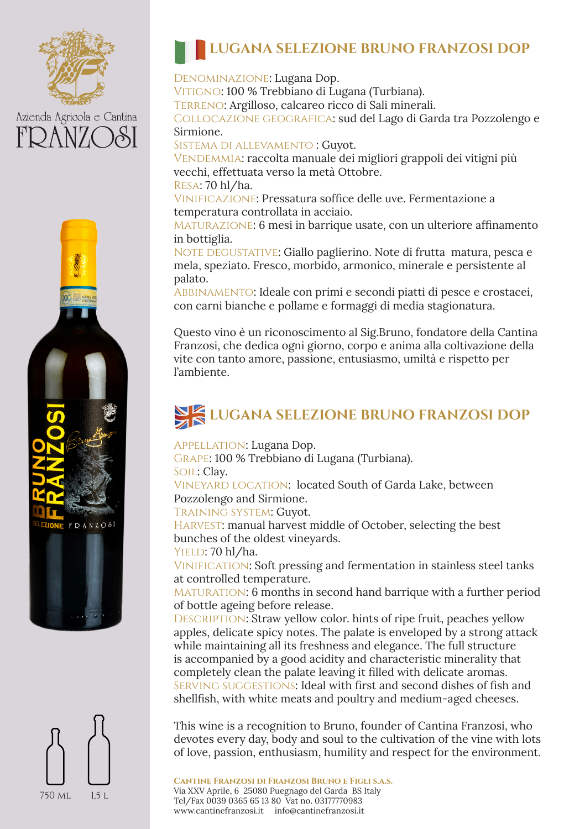

# Azienda Agricola e Cantina





### **LUGANA SELEZIONE BRUNO FRANZOSI DOP**

Denominazione: Lugana Dop. VITIGNO: 100 % Trebbiano di Lugana (Turbiana). Terreno: Argilloso, calcareo ricco di Sali minerali. Collocazione geografica: sud del Lago di Garda tra Pozzolengo e Sirmione.

Sistema di allevamento : Guyot.

VENDEMMIA: raccolta manuale dei migliori grappoli dei vitigni più vecchi, effettuata verso la metà Ottobre.

Resa: 70 hl/ha.

Vinificazione: Pressatura soffice delle uve. Fermentazione a temperatura controllata in acciaio.

Maturazione: 6 mesi in barrique usate, con un ulteriore affinamento in bottiglia.

NOTE DEGUSTATIVE: Giallo paglierino. Note di frutta matura, pesca e mela, speziato. Fresco, morbido, armonico, minerale e persistente al palato.

Abbinamento: Ideale con primi e secondi piatti di pesce e crostacei, con carni bianche e pollame e formaggi di media stagionatura.

Questo vino è un riconoscimento al Sig.Bruno, fondatore della Cantina Franzosi, che dedica ogni giorno, corpo e anima alla coltivazione della vite con tanto amore, passione, entusiasmo, umiltà e rispetto per l'ambiente.

### **LUGANA SELEZIONE BRUNO FRANZOSI DOP**

Appellation: Lugana Dop.

Grape: 100 % Trebbiano di Lugana (Turbiana).

SOIL: Clav.

Vineyard location: located South of Garda Lake, between Pozzolengo and Sirmione.

Training system: Guyot.

HARVEST: manual harvest middle of October, selecting the best bunches of the oldest vineyards.

YIELD: 70 hl/ha.

Vinification: Soft pressing and fermentation in stainless steel tanks at controlled temperature.

MATURATION: 6 months in second hand barrique with a further period of bottle ageing before release.

DESCRIPTION: Straw yellow color. hints of ripe fruit, peaches yellow apples, delicate spicy notes. The palate is enveloped by a strong attack while maintaining all its freshness and elegance. The full structure is accompanied by a good acidity and characteristic minerality that completely clean the palate leaving it filled with delicate aromas. Serving suggestions: Ideal with first and second dishes of fish and shellfish, with white meats and poultry and medium-aged cheeses.

This wine is a recognition to Bruno, founder of Cantina Franzosi, who devotes every day, body and soul to the cultivation of the vine with lots of love, passion, enthusiasm, humility and respect for the environment.